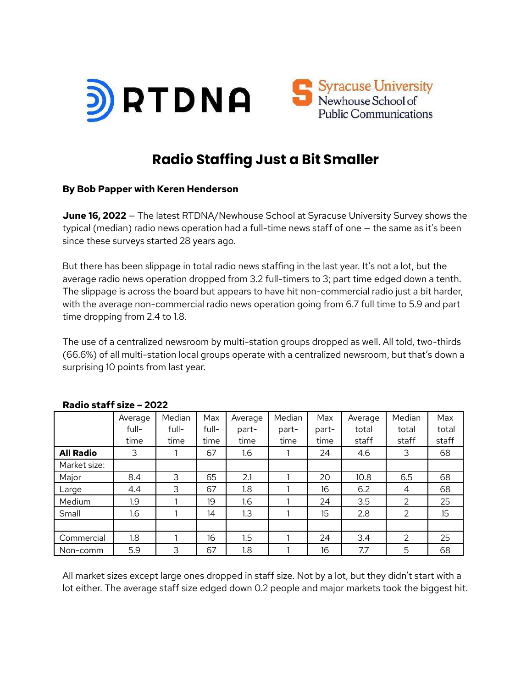



# **Radio Staffing Just a Bit Smaller**

#### **By Bob Papper with Keren Henderson**

**June 16, 2022** — The latest RTDNA/Newhouse School at Syracuse University Survey shows the typical (median) radio news operation had a full-time news staff of one — the same as it's been since these surveys started 28 years ago.

But there has been slippage in total radio news staffing in the last year. It's not a lot, but the average radio news operation dropped from 3.2 full-timers to 3; part time edged down a tenth. The slippage is across the board but appears to have hit non-commercial radio just a bit harder, with the average non-commercial radio news operation going from 6.7 full time to 5.9 and part time dropping from 2.4 to 1.8.

The use of a centralized newsroom by multi-station groups dropped as well. All told, two-thirds (66.6%) of all multi-station local groups operate with a centralized newsroom, but that's down a surprising 10 points from last year.

|                  | Average | Median | Max   | Average | Median | Max   | Average | Median | Max   |
|------------------|---------|--------|-------|---------|--------|-------|---------|--------|-------|
|                  | full-   | full-  | full- | part-   | part-  | part- | total   | total  | total |
|                  | time    | time   | time  | time    | time   | time  | staff   | staff  | staff |
| <b>All Radio</b> | 3       |        | 67    | 1.6     |        | 24    | 4.6     | 3      | 68    |
| Market size:     |         |        |       |         |        |       |         |        |       |
| Major            | 8.4     | 3      | 65    | 2.1     |        | 20    | 10.8    | 6.5    | 68    |
| Large            | 4.4     | 3      | 67    | 1.8     |        | 16    | 6.2     | 4      | 68    |
| Medium           | 1.9     |        | 19    | 1.6     |        | 24    | 3.5     | 2      | 25    |
| Small            | 1.6     |        | 14    | 1.3     |        | 15    | 2.8     | 2      | 15    |
|                  |         |        |       |         |        |       |         |        |       |
| Commercial       | 1.8     |        | 16    | 1.5     |        | 24    | 3.4     | 2      | 25    |
| Non-comm         | 5.9     | 3      | 67    | 1.8     |        | 16    | 7.7     | 5      | 68    |

#### **Radio staff size – 2022**

All market sizes except large ones dropped in staff size. Not by a lot, but they didn't start with a lot either. The average staff size edged down 0.2 people and major markets took the biggest hit.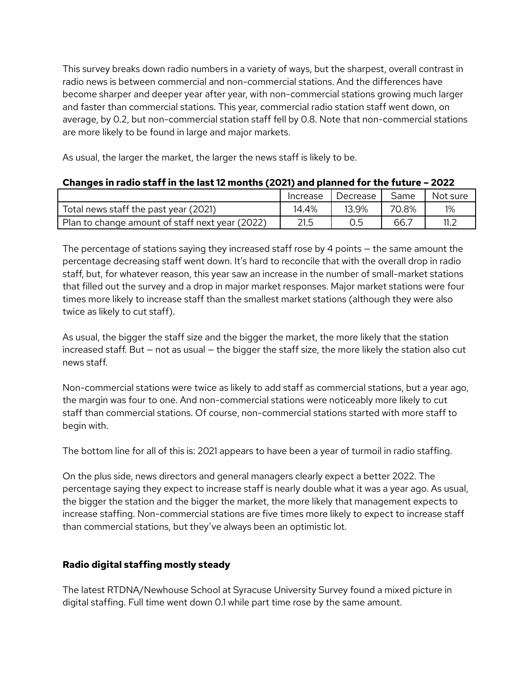This survey breaks down radio numbers in a variety of ways, but the sharpest, overall contrast in radio news is between commercial and non-commercial stations. And the differences have become sharper and deeper year after year, with non-commercial stations growing much larger and faster than commercial stations. This year, commercial radio station staff went down, on average, by 0.2, but non-commercial station staff fell by 0.8. Note that non-commercial stations are more likely to be found in large and major markets.

As usual, the larger the market, the larger the news staff is likely to be.

|                                                 | Increase | Decrease | Same  | Not sure |
|-------------------------------------------------|----------|----------|-------|----------|
| Total news staff the past year (2021)           | 14.4%    | 13.9%    | 70.8% | 1%       |
| Plan to change amount of staff next year (2022) | 21.5     |          | 66.   |          |

#### **Changes in radio staff in the last 12 months (2021) and planned for the future – 2022**

The percentage of stations saying they increased staff rose by 4 points — the same amount the percentage decreasing staff went down. It's hard to reconcile that with the overall drop in radio staff, but, for whatever reason, this year saw an increase in the number of small-market stations that filled out the survey and a drop in major market responses. Major market stations were four times more likely to increase staff than the smallest market stations (although they were also twice as likely to cut staff).

As usual, the bigger the staff size and the bigger the market, the more likely that the station increased staff. But — not as usual — the bigger the staff size, the more likely the station also cut news staff.

Non-commercial stations were twice as likely to add staff as commercial stations, but a year ago, the margin was four to one. And non-commercial stations were noticeably more likely to cut staff than commercial stations. Of course, non-commercial stations started with more staff to begin with.

The bottom line for all of this is: 2021 appears to have been a year of turmoil in radio staffing.

On the plus side, news directors and general managers clearly expect a better 2022. The percentage saying they expect to increase staff is nearly double what it was a year ago. As usual, the bigger the station and the bigger the market, the more likely that management expects to increase staffing. Non-commercial stations are five times more likely to expect to increase staff than commercial stations, but they've always been an optimistic lot.

## **Radio digital staffing mostly steady**

The latest RTDNA/Newhouse School at Syracuse University Survey found a mixed picture in digital staffing. Full time went down 0.1 while part time rose by the same amount.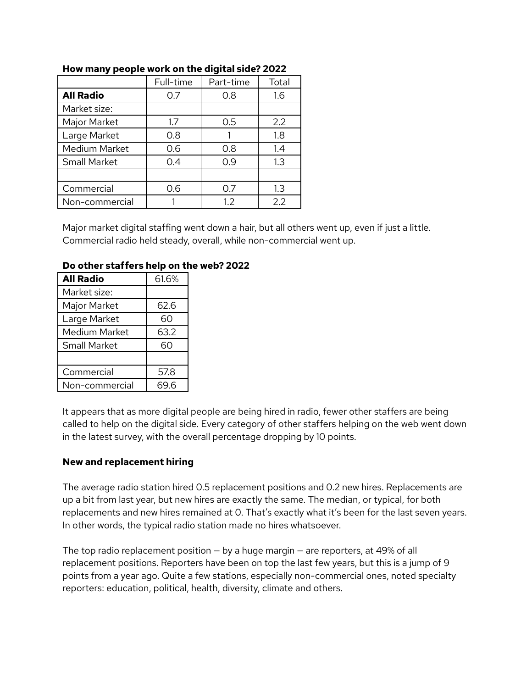|                  | Full-time | Part-time | Total |
|------------------|-----------|-----------|-------|
| <b>All Radio</b> | 0.7       | 0.8       | 1.6   |
| Market size:     |           |           |       |
| Major Market     | 1.7       | 0.5       | 2.2   |
| Large Market     | 0.8       |           | 1.8   |
| Medium Market    | 0.6       | 0.8       | 1.4   |
| Small Market     | 0.4       | 0.9       | 1.3   |
|                  |           |           |       |
| Commercial       | 0.6       | 0.7       | 1.3   |
| Non-commercial   |           | 1.2       | 2.2   |

#### **How many people work on the digital side? 2022**

Major market digital staffing went down a hair, but all others went up, even if just a little. Commercial radio held steady, overall, while non-commercial went up.

| <b>All Radio</b>     | 61.6% |
|----------------------|-------|
| Market size:         |       |
| Major Market         | 62.6  |
| Large Market         | 60    |
| <b>Medium Market</b> | 63.2  |
| <b>Small Market</b>  | 60    |
|                      |       |
| Commercial           | 57.8  |
| Non-commercial       | 69.6  |

#### **Do other staffers help on the web? 2022**

It appears that as more digital people are being hired in radio, fewer other staffers are being called to help on the digital side. Every category of other staffers helping on the web went down in the latest survey, with the overall percentage dropping by 10 points.

#### **New and replacement hiring**

The average radio station hired 0.5 replacement positions and 0.2 new hires. Replacements are up a bit from last year, but new hires are exactly the same. The median, or typical, for both replacements and new hires remained at 0. That's exactly what it's been for the last seven years. In other words, the typical radio station made no hires whatsoever.

The top radio replacement position — by a huge margin — are reporters, at 49% of all replacement positions. Reporters have been on top the last few years, but this is a jump of 9 points from a year ago. Quite a few stations, especially non-commercial ones, noted specialty reporters: education, political, health, diversity, climate and others.